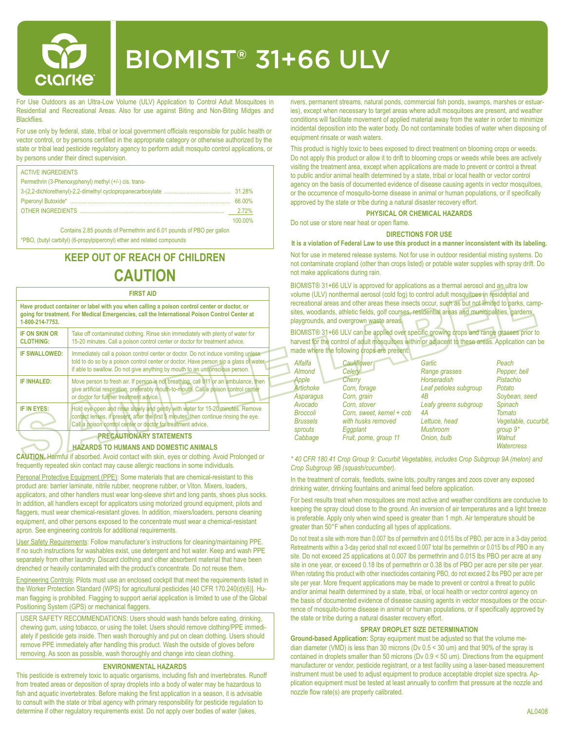

# BIOMIST® 31+66 ULV

For Use Outdoors as an Ultra-Low Volume (ULV) Application to Control Adult Mosquitoes in Residential and Recreational Areas. Also for use against Biting and Non-Biting Midges and **Blackflies** 

For use only by federal, state, tribal or local government officials responsible for public health or vector control, or by persons certified in the appropriate category or otherwise authorized by the state or tribal lead pesticide regulatory agency to perform adult mosquito control applications, or by persons under their direct supervision.

| <b>ACTIVE INGREDIENTS</b>                             |         |
|-------------------------------------------------------|---------|
| Permethrin (3-Phenoxyphenyl) methyl (+/-) cis, trans- |         |
|                                                       |         |
|                                                       | 66,00%  |
|                                                       | 2.72%   |
|                                                       | 100 00% |

Contains 2.85 pounds of Permethrin and 6.01 pounds of PBO per gallon \*PBO, (butyl carbityl) (6-propylpiperonyl) ether and related compounds

## **KEEP OUT OF REACH OF CHILDREN CAUTION**

#### **FIRST AID**

| Have product container or label with you when calling a poison control center or doctor, or<br>going for treatment. For Medical Emergencies, call the International Poison Control Center at<br>1-800-214-7753. |                                                                                                                                                                                                                                                          |  |  |  |  |
|-----------------------------------------------------------------------------------------------------------------------------------------------------------------------------------------------------------------|----------------------------------------------------------------------------------------------------------------------------------------------------------------------------------------------------------------------------------------------------------|--|--|--|--|
| <b>IF ON SKIN OR</b><br><b>CLOTHING:</b>                                                                                                                                                                        | Take off contaminated clothing. Rinse skin immediately with plenty of water for<br>15-20 minutes. Call a poison control center or doctor for treatment advice.                                                                                           |  |  |  |  |
| <b>IF SWALLOWED:</b>                                                                                                                                                                                            | Immediately call a poison control center or doctor. Do not induce vomiting unless<br>told to do so by a poison control center or doctor. Have person sip a glass of water<br>if able to swallow. Do not give anything by mouth to an unconscious person. |  |  |  |  |
| <b>IF INHALED:</b>                                                                                                                                                                                              | Move person to fresh air. If person is not breathing, call 911 or an ambulance, then<br>give artificial respiration, preferably mouth-to-mouth. Call a poison control center<br>or doctor for further treatment advice.                                  |  |  |  |  |
| IF IN EYES:                                                                                                                                                                                                     | Hold eye open and rinse slowly and gently with water for 15-20 minutes. Remove<br>contact lenses, if present, after the first 5 minutes, then continue rinsing the eye.<br>Call a poison control center or doctor for treatment advice.                  |  |  |  |  |
|                                                                                                                                                                                                                 | <b>DOCALITIOUS DV OTSTERER</b>                                                                                                                                                                                                                           |  |  |  |  |

#### **PRECAUTIONARY STATEMENTS**

#### **HAZARDS TO HUMANS AND DOMESTIC ANIMALS**

**CAUTION.** Harmful if absorbed. Avoid contact with skin, eyes or clothing. Avoid Prolonged or frequently repeated skin contact may cause allergic reactions in some individuals.

Personal Protective Equipment (PPE): Some materials that are chemical-resistant to this product are: barrier laminate, nitrile rubber, neoprene rubber, or Viton. Mixers, loaders, applicators, and other handlers must wear long-sleeve shirt and long pants, shoes plus socks. In addition, all handlers except for applicators using motorized ground equipment, pilots and flaggers, must wear chemical-resistant gloves. In addition, mixers/loaders, persons cleaning equipment, and other persons exposed to the concentrate must wear a chemical-resistant apron. See engineering controls for additional requirements.

User Safety Requirements: Follow manufacturer's instructions for cleaning/maintaining PPE. If no such instructions for washables exist, use detergent and hot water. Keep and wash PPE separately from other laundry. Discard clothing and other absorbent material that have been drenched or heavily contaminated with the product's concentrate. Do not reuse them.

Engineering Controls: Pilots must use an enclosed cockpit that meet the requirements listed in the Worker Protection Standard (WPS) for agricultural pesticides [40 CFR 170.240(d)(6)]. Human flagging is prohibited. Flagging to support aerial application is limited to use of the Global Positioning System (GPS) or mechanical flaggers.

USER SAFETY RECOMMENDATIONS: Users should wash hands before eating, drinking, chewing gum, using tobacco, or using the toilet. Users should remove clothing/PPE immediately if pesticide gets inside. Then wash thoroughly and put on clean clothing. Users should remove PPE immediately after handling this product. Wash the outside of gloves before removing. As soon as possible, wash thoroughly and change into clean clothing.

#### **ENVIRONMENTAL HAZARDS**

This pesticide is extremely toxic to aquatic organisms, including fish and invertebrates. Runoff from treated areas or deposition of spray droplets into a body of water may be hazardous to fish and aquatic invertebrates. Before making the first application in a season, it is advisable to consult with the state or tribal agency with primary responsibility for pesticide regulation to determine if other regulatory requirements exist. Do not apply over bodies of water (lakes,

rivers, permanent streams, natural ponds, commercial fish ponds, swamps, marshes or estuaries), except when necessary to target areas where adult mosquitoes are present, and weather conditions will facilitate movement of applied material away from the water in order to minimize incidental deposition into the water body. Do not contaminate bodies of water when disposing of equipment rinsate or wash waters.

This product is highly toxic to bees exposed to direct treatment on blooming crops or weeds. Do not apply this product or allow it to drift to blooming crops or weeds while bees are actively visiting the treatment area, except when applications are made to prevent or control a threat to public and/or animal health determined by a state, tribal or local health or vector control agency on the basis of documented evidence of disease causing agents in vector mosquitoes, or the occurrence of mosquito-borne disease in animal or human populations, or if specifically approved by the state or tribe during a natural disaster recovery effort.

**PHYSICAL OR CHEMICAL HAZARDS**

Do not use or store near heat or open flame.

#### **DIRECTIONS FOR USE**

**It is a violation of Federal Law to use this product in a manner inconsistent with its labeling.**

Not for use in metered release systems. Not for use in outdoor residential misting systems. Do not contaminate cropland (other than crops listed) or potable water supplies with spray drift. Do not make applications during rain.

BIOMIST<sup>®</sup> 31+66 ULV is approved for applications as a thermal aerosol and an ultra low volume (ULV) nonthermal aerosol (cold fog) to control adult mosquitoes in residential and recreational areas and other areas these insects occur, such as but not limited to parks, campsites, woodlands, athletic fields, golf courses, residential areas and municipalities, gardens, playgrounds, and overgrown waste areas.

BIOMIST® 31+66 ULV can be applied over specific growing crops and range grasses prior to harvest for the control of adult mosquitoes within or adjacent to these areas. Application can be made where the following crops are present:

| Alfalfa         | <b>Cauliflower</b>        | Garlic                 | Peach                |
|-----------------|---------------------------|------------------------|----------------------|
| Almond          | Celery                    | Range grasses          | Pepper, bell         |
| Apple           | Cherry                    | Horseradish            | Pistachio            |
| Artichoke       | Corn, forage              | Leaf petioles subgroup | Potato               |
| Asparagus       | Corn, grain               | 4B                     | Soybean, seed        |
| Avocado         | Corn. stover              | Leafy greens subgroup  | <b>Spinach</b>       |
| <b>Broccoli</b> | Corn, sweet, kernel + cob | 4А                     | Tomato               |
| <b>Brussels</b> | with husks removed        | Lettuce, head          | Vegetable, cucurbit, |
| sprouts         | Eggplant                  | <b>Mushroom</b>        | group $9*$           |
| Cabbage         | Fruit, pome, group 11     | Onion, bulb            | Walnut               |
|                 |                           |                        | <b>Watercress</b>    |

*\* 40 CFR 180.41 Crop Group 9: Cucurbit Vegetables, includes Crop Subgroup 9A (melon) and Crop Subgroup 9B (squash/cucumber).*

In the treatment of corrals, feedlots, swine lots, poultry ranges and zoos cover any exposed drinking water, drinking fountains and animal feed before application.

For best results treat when mosquitoes are most active and weather conditions are conducive to keeping the spray cloud close to the ground. An inversion of air temperatures and a light breeze is preferable. Apply only when wind speed is greater than 1 mph. Air temperature should be greater than 50°F when conducting all types of applications.

Do not treat a site with more than 0.007 lbs of permethrin and 0.015 lbs of PBO, per acre in a 3-day period. Retreatments within a 3-day period shall not exceed 0.007 total lbs permethrin or 0.015 lbs of PBO in any site. Do not exceed 25 applications at 0.007 lbs permethrin and 0.015 lbs PBO per acre at any site in one year, or exceed 0.18 lbs of permethrin or 0.38 lbs of PBO per acre per site per year. When rotating this product with other insecticides containing PBO, do not exceed 2 lbs PBO per acre per site per year. More frequent applications may be made to prevent or control a threat to public and/or animal health determined by a state, tribal, or local health or vector control agency on the basis of documented evidence of disease causing agents in vector mosquitoes or the occurrence of mosquito-borne disease in animal or human populations, or if specifically approved by the state or tribe during a natural disaster recovery effort.

#### **SPRAY DROPLET SIZE DETERMINATION**

**Ground-based Application:** Spray equipment must be adjusted so that the volume median diameter (VMD) is less than 30 microns (Dv 0.5 < 30 um) and that 90% of the spray is contained in droplets smaller than 50 microns (Dv 0.9 < 50 um). Directions from the equipment manufacturer or vendor, pesticide registrant, or a test facility using a laser-based measurement instrument must be used to adjust equipment to produce acceptable droplet size spectra. Application equipment must be tested at least annually to confirm that pressure at the nozzle and nozzle flow rate(s) are properly calibrated.